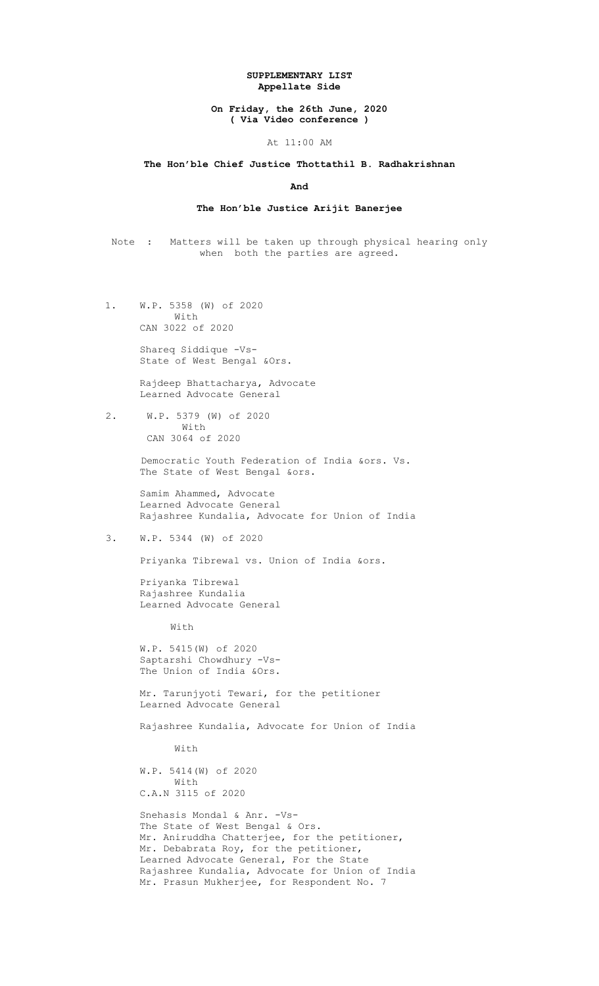### SUPPLEMENTARY LIST Appellate Side

### On Friday, the 26th June, 2020 ( Via Video conference )

#### At 11:00 AM

### The Hon'ble Chief Justice Thottathil B. Radhakrishnan

#### And

# The Hon'ble Justice Arijit Banerjee

Note : Matters will be taken up through physical hearing only when both the parties are agreed.

 1. W.P. 5358 (W) of 2020 With CAN 3022 of 2020

> Shareq Siddique -Vs- State of West Bengal &Ors.

 Rajdeep Bhattacharya, Advocate Learned Advocate General

 2. W.P. 5379 (W) of 2020 With CAN 3064 of 2020

> Democratic Youth Federation of India &ors. Vs. The State of West Bengal &ors.

 Samim Ahammed, Advocate Learned Advocate General Rajashree Kundalia, Advocate for Union of India

3. W.P. 5344 (W) of 2020

Priyanka Tibrewal vs. Union of India &ors.

 Priyanka Tibrewal Rajashree Kundalia Learned Advocate General

With

 W.P. 5415(W) of 2020 Saptarshi Chowdhury -Vs- The Union of India &Ors.

 Mr. Tarunjyoti Tewari, for the petitioner Learned Advocate General

Rajashree Kundalia, Advocate for Union of India

With

 W.P. 5414(W) of 2020 With C.A.N 3115 of 2020

 Snehasis Mondal & Anr. -Vs- The State of West Bengal & Ors. Mr. Aniruddha Chatterjee, for the petitioner, Mr. Debabrata Roy, for the petitioner, Learned Advocate General, For the State Rajashree Kundalia, Advocate for Union of India Mr. Prasun Mukherjee, for Respondent No. 7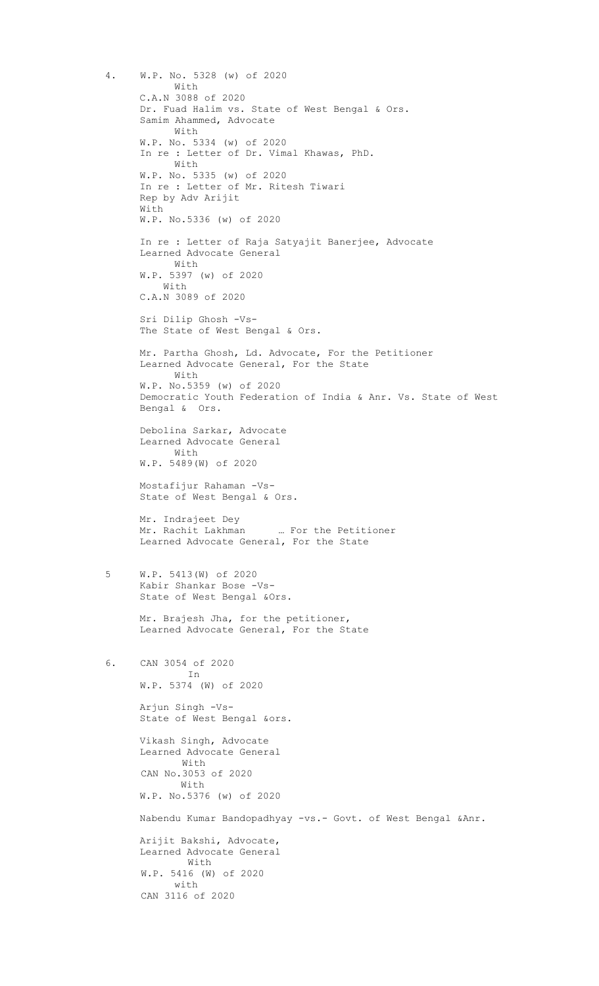4. W.P. No. 5328 (w) of 2020 With C.A.N 3088 of 2020 Dr. Fuad Halim vs. State of West Bengal & Ors. Samim Ahammed, Advocate With W.P. No. 5334 (w) of 2020 In re : Letter of Dr. Vimal Khawas, PhD. With W.P. No. 5335 (w) of 2020 In re : Letter of Mr. Ritesh Tiwari Rep by Adv Arijit With W.P. No.5336 (w) of 2020 In re : Letter of Raja Satyajit Banerjee, Advocate Learned Advocate General With W.P. 5397 (w) of 2020 With C.A.N 3089 of 2020 Sri Dilip Ghosh -Vs- The State of West Bengal & Ors. Mr. Partha Ghosh, Ld. Advocate, For the Petitioner Learned Advocate General, For the State With W.P. No.5359 (w) of 2020 Democratic Youth Federation of India & Anr. Vs. State of West Bengal & Ors. Debolina Sarkar, Advocate Learned Advocate General With W.P. 5489(W) of 2020 Mostafijur Rahaman -Vs- State of West Bengal & Ors. Mr. Indrajeet Dey Mr. Rachit Lakhman … For the Petitioner Learned Advocate General, For the State 5 W.P. 5413(W) of 2020 Kabir Shankar Bose -Vs- State of West Bengal &Ors. Mr. Brajesh Jha, for the petitioner, Learned Advocate General, For the State 6. CAN 3054 of 2020 In W.P. 5374 (W) of 2020 Arjun Singh -Vs- State of West Bengal &ors. Vikash Singh, Advocate Learned Advocate General With CAN No.3053 of 2020 With W.P. No.5376 (w) of 2020 Nabendu Kumar Bandopadhyay -vs.- Govt. of West Bengal &Anr. Arijit Bakshi, Advocate, Learned Advocate General With W.P. 5416 (W) of 2020 with CAN 3116 of 2020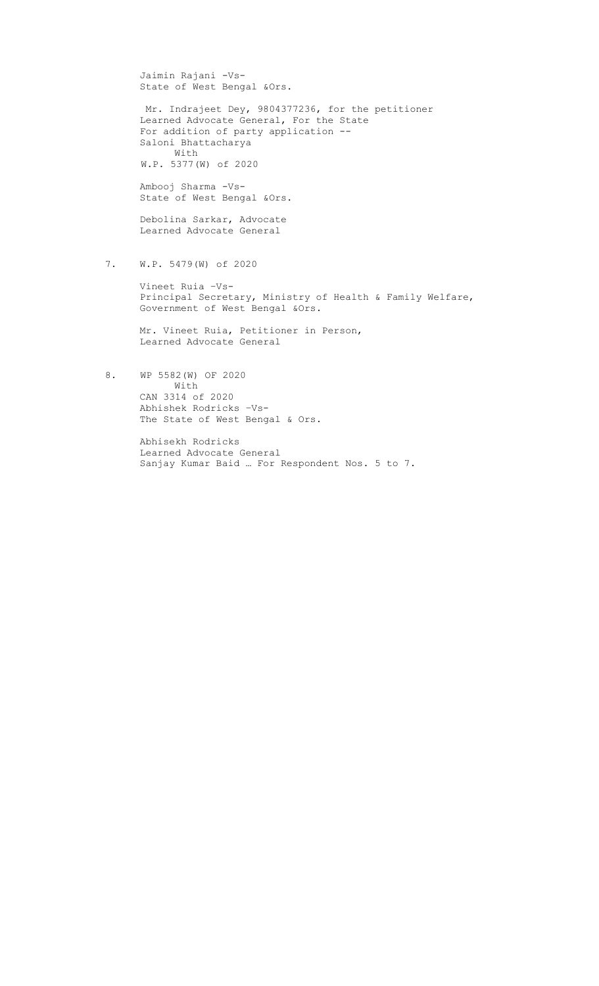Jaimin Rajani -Vs- State of West Bengal &Ors. Mr. Indrajeet Dey, 9804377236, for the petitioner Learned Advocate General, For the State For addition of party application -- Saloni Bhattacharya With W.P. 5377(W) of 2020 Ambooj Sharma -Vs- State of West Bengal &Ors. Debolina Sarkar, Advocate Learned Advocate General 7. W.P. 5479(W) of 2020 Vineet Ruia –Vs- Principal Secretary, Ministry of Health & Family Welfare, Government of West Bengal &Ors.

 Mr. Vineet Ruia, Petitioner in Person, Learned Advocate General

 8. WP 5582(W) OF 2020 With CAN 3314 of 2020 Abhishek Rodricks –Vs-The State of West Bengal & Ors.

> Abhisekh Rodricks Learned Advocate General Sanjay Kumar Baid … For Respondent Nos. 5 to 7.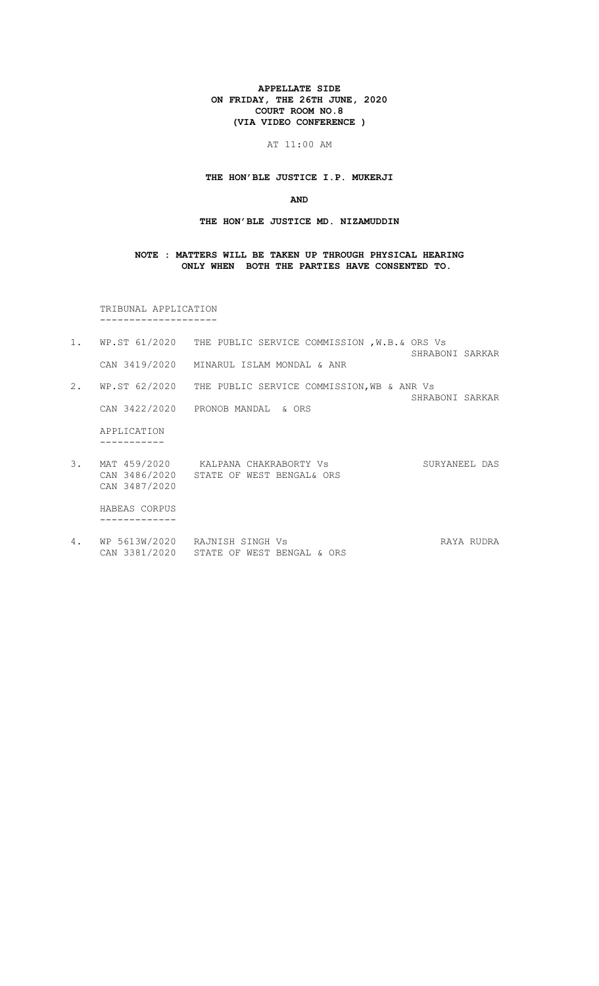#### APPELLATE SIDE ON FRIDAY, THE 26TH JUNE, 2020 COURT ROOM NO.8 (VIA VIDEO CONFERENCE )

# AT 11:00 AM

#### THE HON'BLE JUSTICE I.P. MUKERJI

#### AND

## THE HON'BLE JUSTICE MD. NIZAMUDDIN

### NOTE : MATTERS WILL BE TAKEN UP THROUGH PHYSICAL HEARING ONLY WHEN BOTH THE PARTIES HAVE CONSENTED TO.

 TRIBUNAL APPLICATION --------------------

- 1. WP.ST 61/2020 THE PUBLIC SERVICE COMMISSION ,W.B.& ORS Vs SHRABONI SARKAR CAN 3419/2020 MINARUL ISLAM MONDAL & ANR 2. WP.ST 62/2020 THE PUBLIC SERVICE COMMISSION,WB & ANR Vs SHRABONI SARKAR CAN 3422/2020 PRONOB MANDAL & ORS APPLICATION ----------- 3. MAT 459/2020 3. MAT 459/2020 KALPANA CHAKRABORTY Vs SURYANEEL DAS
- CAN 3486/2020 STATE OF WEST BENGAL& ORS CAN 3487/2020

 HABEAS CORPUS -------------

4. WP 5613W/2020 RAJNISH SINGH Vs **RAYA RUDRA** CAN 3381/2020 STATE OF WEST BENGAL & ORS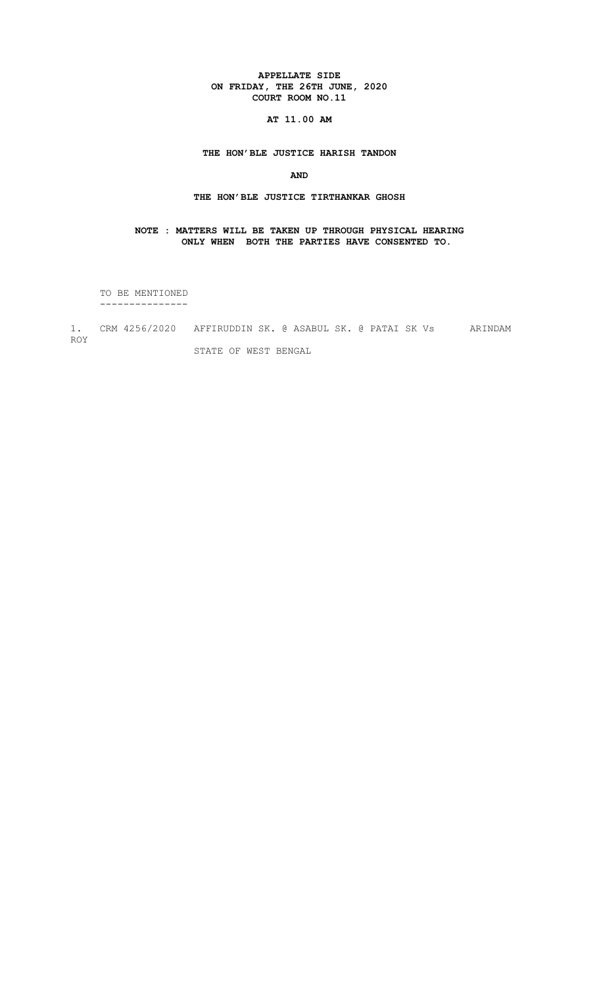### APPELLATE SIDE ON FRIDAY, THE 26TH JUNE, 2020 COURT ROOM NO.11

# AT 11.00 AM

# THE HON'BLE JUSTICE HARISH TANDON

# AND

#### THE HON'BLE JUSTICE TIRTHANKAR GHOSH

# NOTE : MATTERS WILL BE TAKEN UP THROUGH PHYSICAL HEARING ONLY WHEN BOTH THE PARTIES HAVE CONSENTED TO.

 TO BE MENTIONED ---------------

1. CRM 4256/2020 AFFIRUDDIN SK. @ ASABUL SK. @ PATAI SK Vs ARINDAM ROY STATE OF WEST BENGAL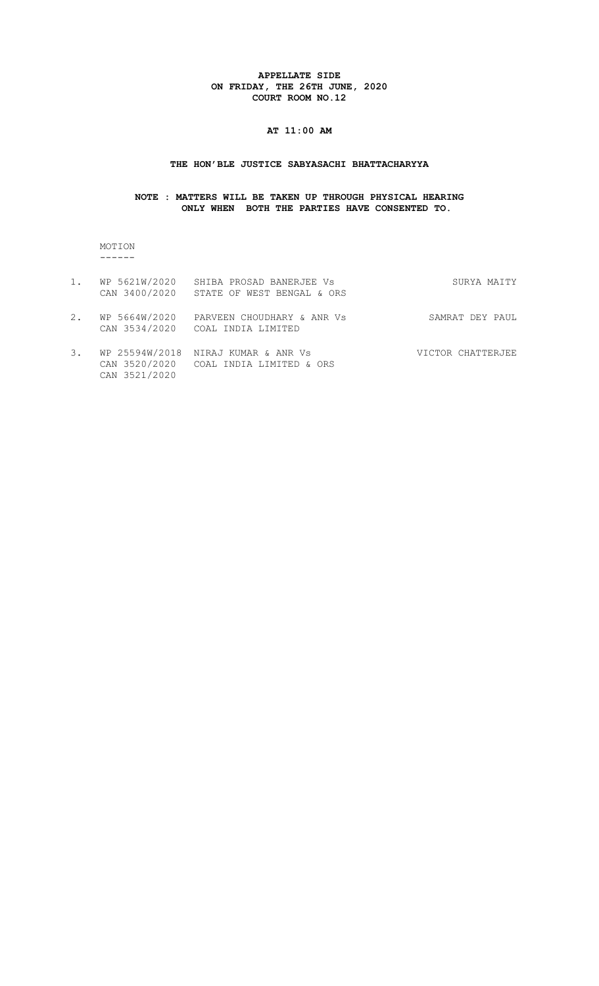### APPELLATE SIDE ON FRIDAY, THE 26TH JUNE, 2020 COURT ROOM NO.12

# AT 11:00 AM

#### THE HON'BLE JUSTICE SABYASACHI BHATTACHARYYA

# NOTE : MATTERS WILL BE TAKEN UP THROUGH PHYSICAL HEARING ONLY WHEN BOTH THE PARTIES HAVE CONSENTED TO.

 MOTION ------

CAN 3521/2020

| 1. | WP 5621W/2020<br>CAN 3400/2020 | SHIBA PROSAD BANERJEE Vs<br>STATE OF WEST BENGAL & ORS         | SURYA MAITY       |
|----|--------------------------------|----------------------------------------------------------------|-------------------|
| 2. | WP 5664W/2020<br>CAN 3534/2020 | PARVEEN CHOUDHARY & ANR Vs<br>COAL INDIA LIMITED               | SAMRAT DEY PAUL   |
| 3. | WP 25594W/2018                 | NIRAJ KUMAR & ANR Vs<br>CAN 3520/2020 COAL INDIA LIMITED & ORS | VICTOR CHATTERJEE |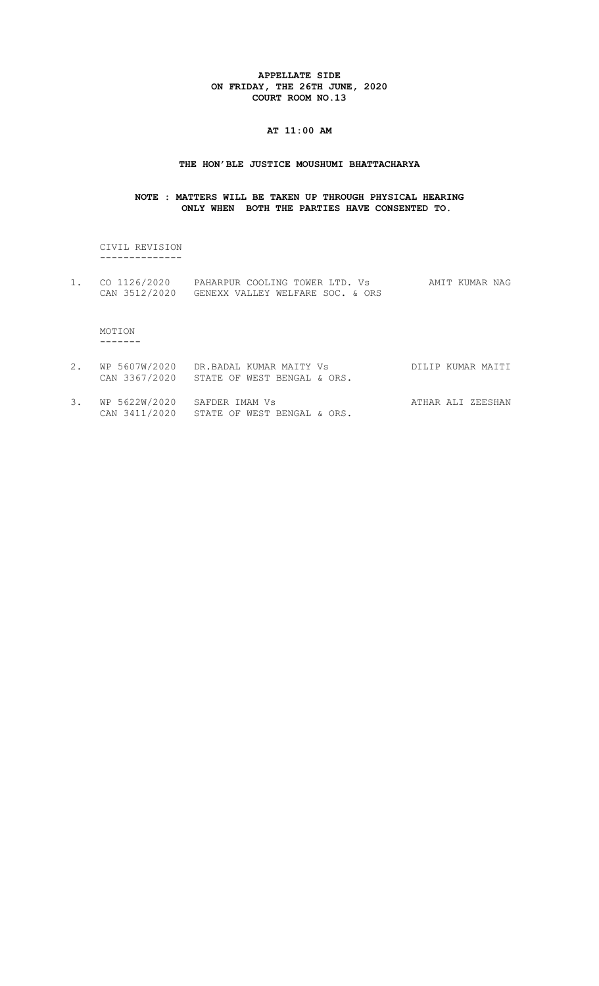### APPELLATE SIDE ON FRIDAY, THE 26TH JUNE, 2020 COURT ROOM NO.13

#### AT 11:00 AM

#### THE HON'BLE JUSTICE MOUSHUMI BHATTACHARYA

#### NOTE : MATTERS WILL BE TAKEN UP THROUGH PHYSICAL HEARING ONLY WHEN BOTH THE PARTIES HAVE CONSENTED TO.

 CIVIL REVISION --------------

1. CO 1126/2020 PAHARPUR COOLING TOWER LTD. Vs AMIT KUMAR NAG CAN 3512/2020 GENEXX VALLEY WELFARE SOC. & ORS

 MOTION -------

- 2. WP 5607W/2020 DR.BADAL KUMAR MAITY Vs DILIP KUMAR MAITI CAN 3367/2020 STATE OF WEST BENGAL & ORS.
- 3. WP 5622W/2020 SAFDER IMAM Vs ATHAR ALI ZEESHAN CAN 3411/2020 STATE OF WEST BENGAL & ORS.